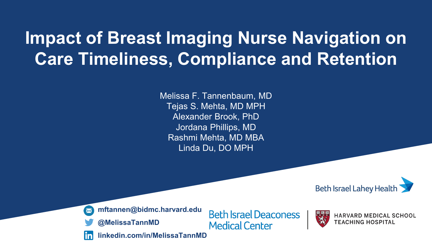# **Impact of Breast Imaging Nurse Navigation on Care Timeliness, Compliance and Retention**

Melissa F. Tannenbaum, MD Tejas S. Mehta, MD MPH Alexander Brook, PhD Jordana Phillips, MD Rashmi Mehta, MD MBA Linda Du, DO MPH





**Beth Israel Deaconess Medical Center** 

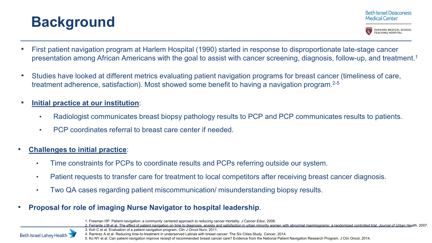### **Background**

Beth Israel Deaconess **Medical Center** 



- First patient navigation program at Harlem Hospital (1990) started in response to disproportionate late-stage cancer presentation among African Americans with the goal to assist with cancer screening, diagnosis, follow-up, and treatment.1
- Studies have looked at different metrics evaluating patient navigation programs for breast cancer (timeliness of care, treatment adherence, satisfaction). Most showed some benefit to having a navigation program.<sup>2-5</sup>

#### • **Initial practice at our institution**:

- Radiologist communicates breast biopsy pathology results to PCP and PCP communicates results to patients.
- PCP coordinates referral to breast care center if needed.
- **Challenges to initial practice**:
	- Time constraints for PCPs to coordinate results and PCPs referring outside our system.
	- Patient requests to transfer care for treatment to local competitors after receiving breast cancer diagnosis.
	- Two QA cases regarding patient miscommunication/ misunderstanding biopsy results.
- **Proposal for role of imaging Nurse Navigator to hospital leadership**.
	- 1. Freeman HP. Patient navigation: a community centered approach to reducing cancer mortality. *J Cancer Educ*, 2006.
	- 2. Ferrante J.M et al. The effect of patient navigation on time to diagnosis, anxiety and satisfaction in urban minority women with abnormal mammograms: a randomized controlled trial. *Journal of Urban Health,* 2007.

**Beth Israel Lahey Heal** 

3. Koh C et al. Evaluation of a patient navigation program. *Clin J Oncol Nurs*, 2011.

4. Ramirez A et al. Reducing time-to-treatment in underserved Latinas with breast cancer: The Six Cities Study. *Cancer*, 2014.

5. Ko NY et al. Can patient navigation improve receipt of recommended breast cancer care? Evidence from the National Patient Navigation Research Program. J Clin Oncol, 2014.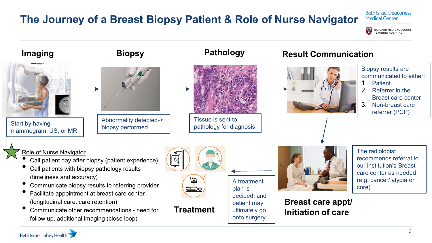### **The Journey of a Breast Biopsy Patient & Role of Nurse Navigator**

**Beth Israel Deaconess Medical Center** 

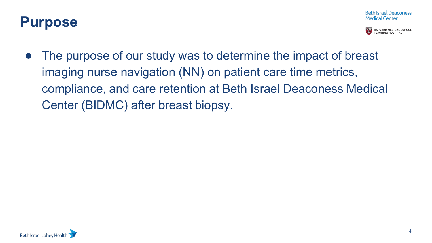

Beth Israel Deaconess **Medical Center** 



● The purpose of our study was to determine the impact of breast imaging nurse navigation (NN) on patient care time metrics, compliance, and care retention at Beth Israel Deaconess Medical Center (BIDMC) after breast biopsy.

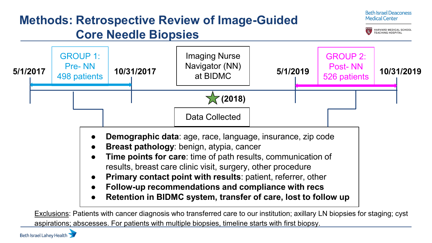

Exclusions: Patients with cancer diagnosis who transferred care to our institution; axillary LN biopsies for staging; cyst aspirations; abscesses. For patients with multiple biopsies, timeline starts with first biopsy.

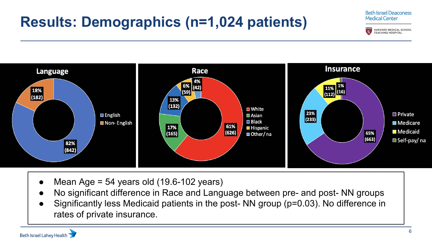## **Results: Demographics (n=1,024 patients)**



- Mean Age = 54 years old  $(19.6-102 \text{ years})$
- No significant difference in Race and Language between pre- and post- NN groups
- Significantly less Medicaid patients in the post- NN group (p=0.03). No difference in rates of private insurance.



**Beth Israel Deaconess Medical Center**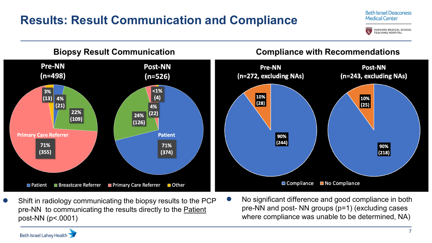### **Results: Result Communication and Compliance**

**Beth Israel Deaconess Medical Center** 



- Shift in radiology communicating the biopsy results to the PCP pre-NN to communicating the results directly to the Patient post-NN (p<.0001)
- No significant difference and good compliance in both pre-NN and post- NN groups (p=1) (excluding cases where compliance was unable to be determined, NA)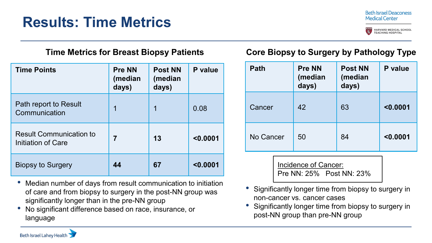### **Results: Time Metrics**

#### **Beth Israel Deaconess Medical Center**



#### **Time Metrics for Breast Biopsy Patients**

| <b>Time Points</b>                                   | <b>Pre NN</b><br>(median<br>days) | <b>Post NN</b><br>(median<br>days) | P value  |
|------------------------------------------------------|-----------------------------------|------------------------------------|----------|
| Path report to Result<br>Communication               | 1                                 | 1                                  | 0.08     |
| <b>Result Communication to</b><br>Initiation of Care | 7                                 | 13                                 | < 0.0001 |
| <b>Biopsy to Surgery</b>                             | 44                                | 67                                 | < 0.0001 |

- Median number of days from result communication to initiation of care and from biopsy to surgery in the post-NN group was significantly longer than in the pre-NN group
- No significant difference based on race, insurance, or language

#### **Core Biopsy to Surgery by Pathology Type**

| <b>Path</b> | <b>Pre NN</b><br>(median<br>days) | <b>Post NN</b><br>(median<br>days) | P value  |
|-------------|-----------------------------------|------------------------------------|----------|
| Cancer      | 42                                | 63                                 | < 0.0001 |
| No Cancer   | 50                                | 84                                 | < 0.0001 |

Incidence of Cancer: Pre NN: 25% Post NN: 23%

- Significantly longer time from biopsy to surgery in non-cancer vs. cancer cases
- Significantly longer time from biopsy to surgery in post-NN group than pre-NN group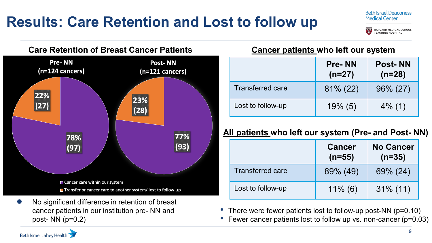### **Results: Care Retention and Lost to follow up**



No significant difference in retention of breast cancer patients in our institution pre- NN and post- NN (p=0.2)

#### **Cancer patients who left our system**

|                         | <b>Pre-NN</b><br>$(n=27)$ | <b>Post-NN</b><br>$(n=28)$ |
|-------------------------|---------------------------|----------------------------|
| <b>Transferred care</b> | $81\% (22)$               | $96\% (27)$                |
| Lost to follow-up       | $19\%$ (5)                | $4\%$ (1)                  |

#### **All patients who left our system (Pre- and Post- NN)**

|                         | <b>Cancer</b><br>$(n=55)$ | <b>No Cancer</b><br>$(n=35)$ |
|-------------------------|---------------------------|------------------------------|
| <b>Transferred care</b> | 89% (49)                  | 69% (24)                     |
| Lost to follow-up       | $11\%$ (6)                | $31\%$ (11)                  |

- There were fewer patients lost to follow-up post-NN (p=0.10)
- Fewer cancer patients lost to follow up vs. non-cancer (p=0.03)

**Beth Israel Deaconess Medical Center**